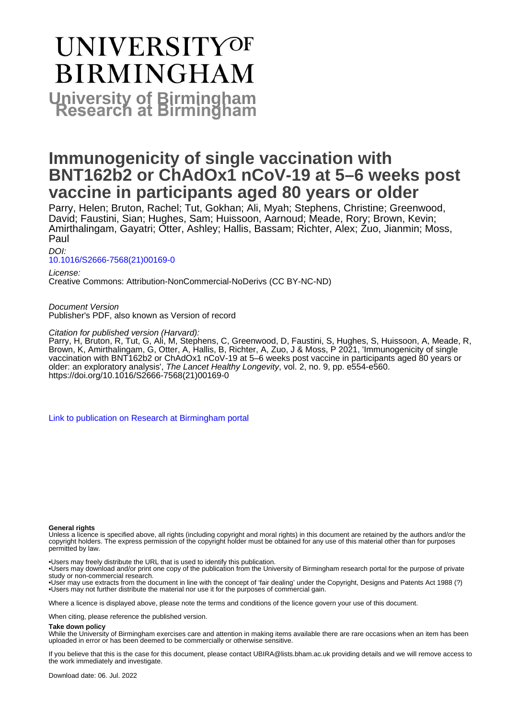# **UNIVERSITYOF BIRMINGHAM University of Birmingham**

# **Immunogenicity of single vaccination with BNT162b2 or ChAdOx1 nCoV-19 at 5–6 weeks post vaccine in participants aged 80 years or older**

Parry, Helen; Bruton, Rachel; Tut, Gokhan; Ali, Myah; Stephens, Christine; Greenwood, David; Faustini, Sian; Hughes, Sam; Huissoon, Aarnoud; Meade, Rory; Brown, Kevin; Amirthalingam, Gayatri; Otter, Ashley; Hallis, Bassam; Richter, Alex; Zuo, Jianmin; Moss, Paul

DOI:

[10.1016/S2666-7568\(21\)00169-0](https://doi.org/10.1016/S2666-7568(21)00169-0)

License:

Creative Commons: Attribution-NonCommercial-NoDerivs (CC BY-NC-ND)

Document Version Publisher's PDF, also known as Version of record

Citation for published version (Harvard):

Parry, H, Bruton, R, Tut, G, Ali, M, Stephens, C, Greenwood, D, Faustini, S, Hughes, S, Huissoon, A, Meade, R, Brown, K, Amirthalingam, G, Otter, A, Hallis, B, Richter, A, Zuo, J & Moss, P 2021, 'Immunogenicity of single vaccination with BNT162b2 or ChAdOx1 nCoV-19 at 5–6 weeks post vaccine in participants aged 80 years or older: an exploratory analysis', The Lancet Healthy Longevity, vol. 2, no. 9, pp. e554-e560. [https://doi.org/10.1016/S2666-7568\(21\)00169-0](https://doi.org/10.1016/S2666-7568(21)00169-0)

[Link to publication on Research at Birmingham portal](https://birmingham.elsevierpure.com/en/publications/25853a18-cd1b-4cfc-80cb-417a6d15e6e7)

### **General rights**

Unless a licence is specified above, all rights (including copyright and moral rights) in this document are retained by the authors and/or the copyright holders. The express permission of the copyright holder must be obtained for any use of this material other than for purposes permitted by law.

• Users may freely distribute the URL that is used to identify this publication.

• Users may download and/or print one copy of the publication from the University of Birmingham research portal for the purpose of private study or non-commercial research.

• User may use extracts from the document in line with the concept of 'fair dealing' under the Copyright, Designs and Patents Act 1988 (?) • Users may not further distribute the material nor use it for the purposes of commercial gain.

Where a licence is displayed above, please note the terms and conditions of the licence govern your use of this document.

When citing, please reference the published version.

#### **Take down policy**

While the University of Birmingham exercises care and attention in making items available there are rare occasions when an item has been uploaded in error or has been deemed to be commercially or otherwise sensitive.

If you believe that this is the case for this document, please contact UBIRA@lists.bham.ac.uk providing details and we will remove access to the work immediately and investigate.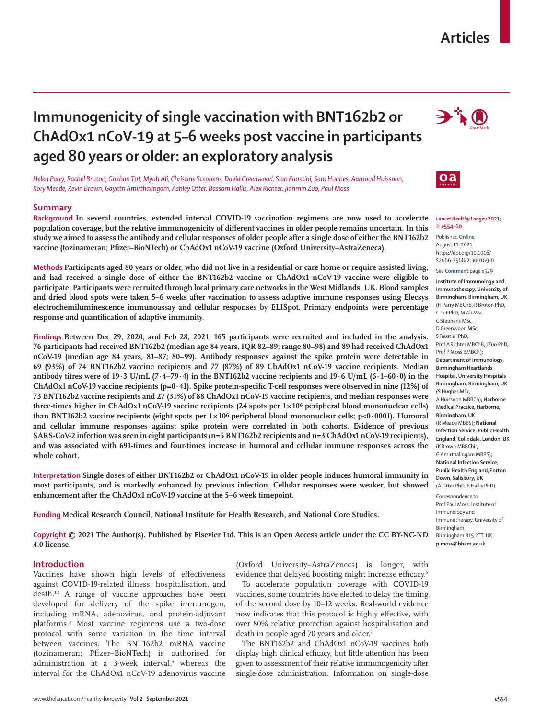# **Articles**

# **Immunogenicity of single vaccination with BNT162b2 or ChAdOx1 nCoV-19 at 5–6 weeks post vaccine in participants aged 80 years or older: an exploratory analysis**

*Helen Parry, Rachel Bruton, Gokhan Tut, Myah Ali, Christine Stephens, David Greenwood, Sian Faustini, Sam Hughes, Aarnoud Huissoon, Rory Meade, Kevin Brown, Gayatri Amirthalingam, Ashley Otter, Bassam Hallis, Alex Richter, Jianmin Zuo, Paul Moss*

# **Summary**

**Background In several countries, extended interval COVID-19 vaccination regimens are now used to accelerate population coverage, but the relative immunogenicity of different vaccines in older people remains uncertain. In this study we aimed to assess the antibody and cellular responses of older people after a single dose of either the BNT162b2 vaccine (tozinameran; Pfizer–BioNTech) or ChAdOx1 nCoV-19 vaccine (Oxford University–AstraZeneca).** 

**Methods Participants aged 80 years or older, who did not live in a residential or care home or require assisted living, and had received a single dose of either the BNT162b2 vaccine or ChAdOx1 nCoV-19 vaccine were eligible to participate. Participants were recruited through local primary care networks in the West Midlands, UK. Blood samples and dried blood spots were taken 5–6 weeks after vaccination to assess adaptive immune responses using Elecsys electrochemiluminescence immunoassay and cellular responses by ELISpot. Primary endpoints were percentage response and quantification of adaptive immunity.**

**Findings Between Dec 29, 2020, and Feb 28, 2021, 165 participants were recruited and included in the analysis. 76 participants had received BNT162b2 (median age 84 years, IQR 82–89; range 80–98) and 89 had received ChAdOx1 nCoV-19 (median age 84 years, 81–87; 80–99). Antibody responses against the spike protein were detectable in 69 (93%) of 74 BNT162b2 vaccine recipients and 77 (87%) of 89 ChAdOx1 nCoV-19 vaccine recipients. Median antibody titres were of 19·3 U/mL (7·4–79·4) in the BNT162b2 vaccine recipients and 19·6 U/mL (6·1–60·0) in the ChAdOx1 nCoV-19 vaccine recipients (p=0·41). Spike protein-specific T-cell responses were observed in nine (12%) of 73 BNT162b2 vaccine recipients and 27 (31%) of 88 ChAdOx1 nCoV-19 vaccine recipients, and median responses were**  three-times higher in ChAdOx1 nCoV-19 vaccine recipients (24 spots per 1×10<sup>6</sup> peripheral blood mononuclear cells) **than BNT162b2 vaccine recipients (eight spots per 1×10⁶ peripheral blood mononuclear cells; p<0·0001). Humoral and cellular immune responses against spike protein were correlated in both cohorts. Evidence of previous SARS-CoV-2 infection was seen in eight participants (n=5 BNT162b2 recipients and n=3 ChAdOx1 nCoV-19 recipients), and was associated with 691-times and four-times increase in humoral and cellular immune responses across the whole cohort.**

**Interpretation Single doses of either BNT162b2 or ChAdOx1 nCoV-19 in older people induces humoral immunity in most participants, and is markedly enhanced by previous infection. Cellular responses were weaker, but showed enhancement after the ChAdOx1 nCoV-19 vaccine at the 5–6 week timepoint.**

**Funding Medical Research Council, National Institute for Health Research, and National Core Studies.**

**Copyright © 2021 The Author(s). Published by Elsevier Ltd. This is an Open Access article under the CC BY-NC-ND 4.0 license.**

# **Introduction**

Vaccines have shown high levels of effectiveness against COVID-19-related illness, hospitalisation, and death.<sup>1,2</sup> A range of vaccine approaches have been developed for delivery of the spike immunogen, including mRNA, adenovirus, and protein-adjuvant platforms.3 Most vaccine regimens use a two-dose protocol with some variation in the time interval between vaccines. The BNT162b2 mRNA vaccine (tozinameran; Pfizer–BioNTech) is authorised for administration at a 3-week interval,<sup>4</sup> whereas the interval for the ChAdOx1 nCoV-19 adenovirus vaccine

(Oxford University–AstraZeneca) is longer, with evidence that delayed boosting might increase efficacy.<sup>5</sup>

To accelerate population coverage with COVID-19 vaccines, some countries have elected to delay the timing of the second dose by 10–12 weeks. Real-world evidence now indicates that this protocol is highly effective, with over 80% relative protection against hospitalisation and death in people aged 70 years and older.<sup>2</sup>

The BNT162b2 and ChAdOx1 nCoV-19 vaccines both display high clinical efficacy, but little attention has been given to assessment of their relative immunogenicity after single-dose administration. Information on single-dose





#### *Lancet Healthy Longev* **2021; 2: e554–60**

Published **Online** August 11, 2021 https://doi.org/10.1016/ S2666-7568(21)00169-0

**Institute of Immunology and Immunotherapy, University of Birmingham, Birmingham, UK** (H Parry MBChB, R Bruton PhD, G Tut PhD, M Ali MSc, C Stephens MSc, D Greenwood MSc, SFaustini PhD, Prof ARichter MBChB, JZuo PhD, Prof P Moss BMBCh)**; Department of Immunology, Birmingham Heartlands Hospital, University Hospitals Birmingham, Birmingham, UK**  (S Hughes MSc, A Huissoon MBBCh)**; Harborne Medical Practice, Harborne, Birmingham, UK**  (R Meade MBBS)**; National Infection Service, Public Health England, Colindale, London, UK** (KBrown MBBChir, G Amirthalingam MBBS)**; National Infection Service, Public Health England,Porton Down, Salisbury, UK** (A Otter PhD, B Hallis PhD)

Correspondence to: Prof Paul Moss, Institute of Immunology and Immunotherapy, University of Birmingham, Birmingham B15 2TT, UK **p.moss@bham.ac.uk**

See **Comment** page e529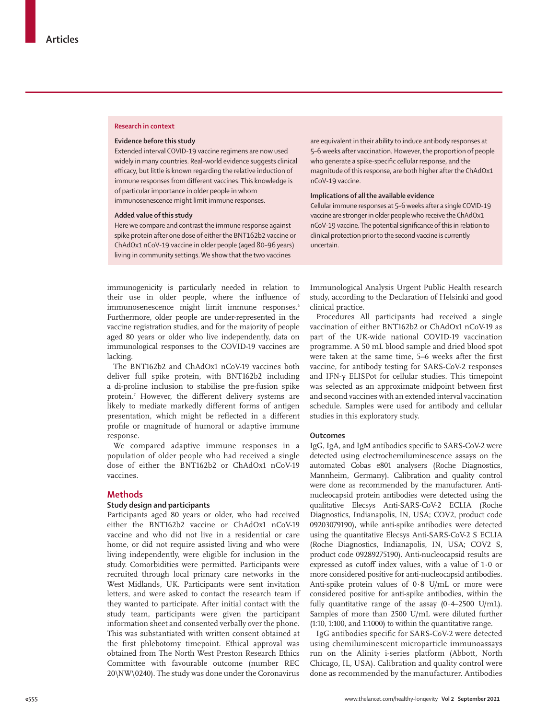#### **Research in context**

### **Evidence before this study**

Extended interval COVID-19 vaccine regimens are now used widely in many countries. Real-world evidence suggests clinical efficacy, but little is known regarding the relative induction of immune responses from different vaccines. This knowledge is of particular importance in older people in whom immunosenescence might limit immune responses.

### **Added value of this study**

Here we compare and contrast the immune response against spike protein after one dose of either the BNT162b2 vaccine or ChAdOx1 nCoV-19 vaccine in older people (aged 80–96 years) living in community settings. We show that the two vaccines

are equivalent in their ability to induce antibody responses at 5–6 weeks after vaccination. However, the proportion of people who generate a spike-specific cellular response, and the magnitude of this response, are both higher after the ChAdOx1 nCoV-19 vaccine.

#### **Implications of all the available evidence**

Cellular immune responses at 5–6 weeks after a single COVID-19 vaccine are stronger in older people who receive the ChAdOx1 nCoV-19 vaccine. The potential significance of this in relation to clinical protection prior to the second vaccine is currently uncertain.

immunogenicity is particularly needed in relation to their use in older people, where the influence of immunosenescence might limit immune responses.<sup>6</sup> Furthermore, older people are under-represented in the vaccine registration studies, and for the majority of people aged 80 years or older who live independently, data on immunological responses to the COVID-19 vaccines are lacking.

The BNT162b2 and ChAdOx1 nCoV-19 vaccines both deliver full spike protein, with BNT162b2 including a di-proline inclusion to stabilise the pre-fusion spike protein.7 However, the different delivery systems are likely to mediate markedly different forms of antigen presentation, which might be reflected in a different profile or magnitude of humoral or adaptive immune response.

We compared adaptive immune responses in a population of older people who had received a single dose of either the BNT162b2 or ChAdOx1 nCoV-19 vaccines.

# **Methods**

# **Study design and participants**

Participants aged 80 years or older, who had received either the BNT162b2 vaccine or ChAdOx1 nCoV-19 vaccine and who did not live in a residential or care home, or did not require assisted living and who were living independently, were eligible for inclusion in the study. Comorbidities were permitted. Participants were recruited through local primary care networks in the West Midlands, UK. Participants were sent invitation letters, and were asked to contact the research team if they wanted to participate*.* After initial contact with the study team, participants were given the participant information sheet and consented verbally over the phone. This was substantiated with written consent obtained at the first phlebotomy timepoint. Ethical approval was obtained from The North West Preston Research Ethics Committee with favourable outcome (number REC 20\NW\0240). The study was done under the Coronavirus

Immunological Analysis Urgent Public Health research study, according to the Declaration of Helsinki and good clinical practice.

Procedures All participants had received a single vaccination of either BNT162b2 or ChAdOx1 nCoV-19 as part of the UK-wide national COVID-19 vaccination programme. A 50 mL blood sample and dried blood spot were taken at the same time, 5–6 weeks after the first vaccine, for antibody testing for SARS-CoV-2 responses and IFN-γ ELISPot for cellular studies. This timepoint was selected as an approximate midpoint between first and second vaccines with an extended interval vaccination schedule. Samples were used for antibody and cellular studies in this exploratory study.

# **Outcomes**

IgG, IgA, and IgM antibodies specific to SARS-CoV-2 were detected using electrochemiluminescence assays on the automated Cobas e801 analysers (Roche Diagnostics, Mannheim, Germany). Calibration and quality control were done as recommended by the manufacturer. Antinucleocapsid protein antibodies were detected using the qualitative Elecsys Anti-SARS-CoV-2 ECLIA (Roche Diagnostics, Indianapolis, IN, USA; COV2, product code 09203079190), while anti-spike antibodies were detected using the quantitative Elecsys Anti-SARS-CoV-2 S ECLIA (Roche Diagnostics, Indianapolis, IN, USA; COV2 S, product code 09289275190). Anti-nucleocapsid results are expressed as cutoff index values, with a value of 1·0 or more considered positive for anti-nucleocapsid antibodies. Anti-spike protein values of 0·8 U/mL or more were considered positive for anti-spike antibodies, within the fully quantitative range of the assay  $(0.4–2500 \text{ U/mL})$ . Samples of more than 2500 U/mL were diluted further (1:10, 1:100, and 1:1000) to within the quantitative range.

IgG antibodies specific for SARS-CoV-2 were detected using chemiluminescent microparticle immunoassays run on the Alinity i-series platform (Abbott, North Chicago, IL, USA). Calibration and quality control were done as recommended by the manufacturer. Antibodies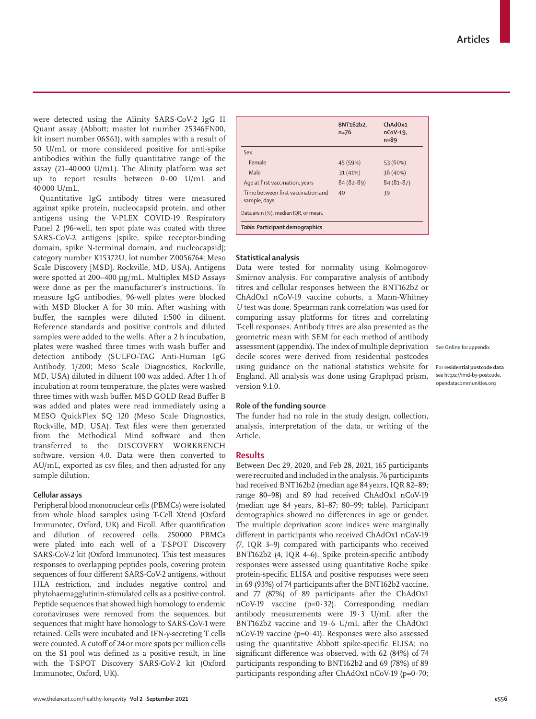were detected using the Alinity SARS-CoV-2 IgG II Quant assay (Abbott; master lot number 25346FN00, kit insert number 06S61), with samples with a result of 50 U/mL or more considered positive for anti-spike antibodies within the fully quantitative range of the assay (21–40 000 U/mL). The Alinity platform was set up to report results between 0·00 U/mL and 40 000 U/mL.

Quantitative IgG antibody titres were measured against spike protein, nucleocapsid protein, and other antigens using the V-PLEX COVID-19 Respiratory Panel 2 (96-well, ten spot plate was coated with three SARS-CoV-2 antigens [spike, spike receptor-binding domain, spike N-terminal domain, and nucleocapsid]; category number K15372U, lot number Z0056764; Meso Scale Discovery [MSD], Rockville, MD, USA). Antigens were spotted at 200−400 μg/mL. Multiplex MSD Assays were done as per the manufacturer's instructions. To measure IgG antibodies, 96-well plates were blocked with MSD Blocker A for 30 min. After washing with buffer, the samples were diluted 1:500 in diluent. Reference standards and positive controls and diluted samples were added to the wells. After a 2 h incubation, plates were washed three times with wash buffer and detection antibody (SULFO-TAG Anti-Human IgG Antibody, 1/200; Meso Scale Diagnostics, Rockville, MD, USA) diluted in diluent 100 was added. After 1 h of incubation at room temperature, the plates were washed three times with wash buffer. MSD GOLD Read Buffer B was added and plates were read immediately using a MESO QuickPlex SQ 120 (Meso Scale Diagnostics, Rockville, MD, USA). Text files were then generated from the Methodical Mind software and then transferred to the DISCOVERY WORKBENCH software, version 4.0. Data were then converted to AU/mL, exported as csv files, and then adjusted for any sample dilution.

### **Cellular assays**

Peripheral blood mononuclear cells (PBMCs) were isolated from whole blood samples using T-Cell Xtend (Oxford Immunotec, Oxford, UK) and Ficoll. After quantification and dilution of recovered cells, 250000 PBMCs were plated into each well of a T-SPOT Discovery SARS-CoV-2 kit (Oxford Immunotec). This test measures responses to overlapping peptides pools, covering protein sequences of four different SARS-CoV-2 antigens, without HLA restriction, and includes negative control and phytohaemagglutinin-stimulated cells as a positive control. Peptide sequences that showed high homology to endemic coronaviruses were removed from the sequences, but sequences that might have homology to SARS-CoV-1 were retained. Cells were incubated and IFN-γ-secreting T cells were counted. A cutoff of 24 or more spots per million cells on the S1 pool was defined as a positive result, in line with the T-SPOT Discovery SARS-CoV-2 kit (Oxford Immunotec, Oxford, UK).

|                                                    | BNT162b2,<br>$n = 76$ | ChAdOx1<br>$nCoV-19$ ,<br>$n = 89$ |
|----------------------------------------------------|-----------------------|------------------------------------|
| Sex                                                |                       |                                    |
| Female                                             | 45 (59%)              | 53 (60%)                           |
| Male                                               | 31(41%)               | 36 (40%)                           |
| Age at first vaccination, years                    | $84(82 - 89)$         | $84(81 - 87)$                      |
| Time between first vaccination and<br>sample, days | 40                    | 39                                 |
| Data are n (%), median IQR, or mean.               |                       |                                    |
| Table: Participant demographics                    |                       |                                    |

# **Statistical analysis**

Data were tested for normality using Kolmogorov-Smirnov analysis. For comparative analysis of antibody titres and cellular responses between the BNT162b2 or ChAdOx1 nCoV-19 vaccine cohorts, a Mann-Whitney *U* test was done. Spearman rank correlation was used for comparing assay platforms for titres and correlating T-cell responses. Antibody titres are also presented as the geometric mean with SEM for each method of antibody assessment (appendix). The index of multiple deprivation decile scores were derived from residential postcodes using guidance on the national statistics [website](https://imd-by-postcode.opendatacommunities.org) for England. All analysis was done using Graphpad prism, version 9.1.0.

See **Online** for appendix

For **[residential postcode data](https://imd-by-postcode.opendatacommunities.org)** [see https://imd-by-postcode.](https://imd-by-postcode.opendatacommunities.org) [opendatacommunities.org](https://imd-by-postcode.opendatacommunities.org)

# **Role of the funding source**

The funder had no role in the study design, collection, analysis, interpretation of the data, or writing of the Article.

### **Results**

Between Dec 29, 2020, and Feb 28, 2021, 165 participants were recruited and included in the analysis. 76 participants had received BNT162b2 (median age 84 years, IQR 82–89; range 80–98) and 89 had received ChAdOx1 nCoV-19 (median age 84 years, 81–87; 80–99; table). Participant demographics showed no differences in age or gender. The multiple deprivation score indices were marginally different in participants who received ChAdOx1 nCoV-19 (7, IQR 3–9) compared with participants who received BNT162b2 (4, IQR 4–6). Spike protein-specific antibody responses were assessed using quantitative Roche spike protein-specific ELISA and positive responses were seen in 69 (93%) of 74 participants after the BNT162b2 vaccine, and 77 (87%) of 89 participants after the ChAdOx1 nCoV-19 vaccine (p=0·32). Corresponding median antibody measurements were 19·3 U/mL after the BNT162b2 vaccine and 19·6 U/mL after the ChAdOx1 nCoV-19 vaccine (p=0·41). Responses were also assessed using the quantitative Abbott spike-specific ELISA; no significant difference was observed, with 62 (84%) of 74 participants responding to BNT162b2 and 69 (78%) of 89 participants responding after ChAdOx1 nCoV-19 (p=0·70;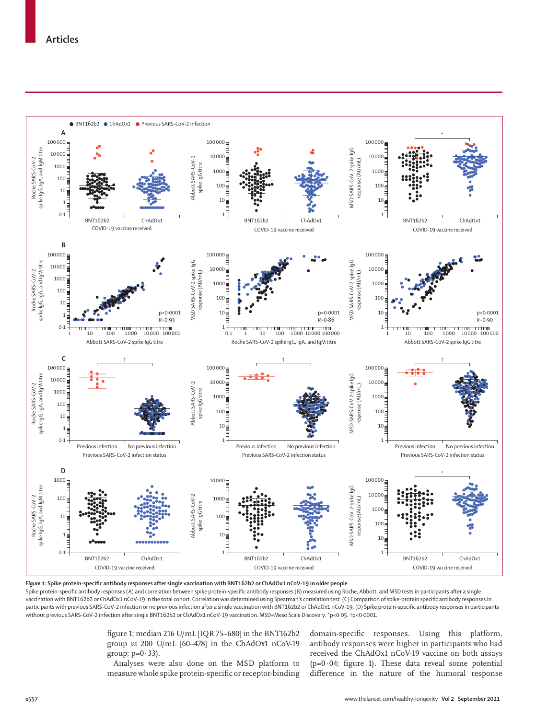

*Figure 1***: Spike protein-specific antibody responses after single vaccination with BNT162b2 or ChAdOx1 nCoV-19 in older people**

Spike protein-specific antibody responses (A) and correlation between spike protein-specific antibody responses (B) measured using Roche, Abbott, and MSD tests in participants after a single vaccination with BNT162b2 or ChAdOx1 nCoV-19 in the total cohort. Correlation was determined using Spearman's correlation test. (C) Comparison of spike-protein specific antibody responses in participants with previous SARS-CoV-2 infection or no previous infection after a single vaccination with BNT162b2 or ChAdOx1 nCoV-19. (D) Spike protein-specific antibody responses in participants without previous SARS-CoV-2 infection after single BNT162b2 or ChAdOx1 nCoV-19 vaccination. MSD=Meso Scale Discovery. \*p<0·05. †p<0·0001.

> figure 1; median 216 U/mL [IQR 75–680] in the BNT162b2 group *vs* 200 U/mL [60–478] in the ChAdOx1 nCoV-19 group;  $p=0.33$ ).

> Analyses were also done on the MSD platform to measure whole spike protein-specific or receptor-binding

domain-specific responses. Using this platform, antibody responses were higher in participants who had received the ChAdOx1 nCoV-19 vaccine on both assays  $(p=0.04;$  figure 1). These data reveal some potential difference in the nature of the humoral response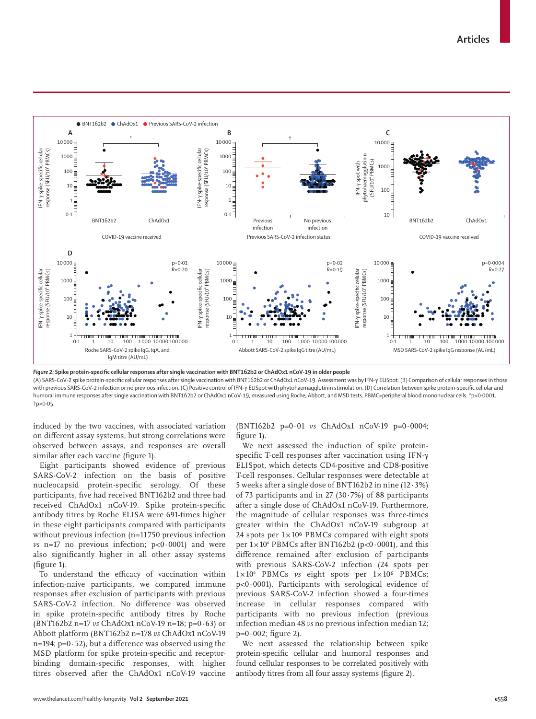

*Figure 2:* **Spike protein-specific cellular responses after single vaccination with BNT162b2 or ChAdOx1 nCoV-19 in older people**

(A) SARS-CoV-2 spike protein-specific cellular responses after single vaccination with BNT162b2 or ChAdOx1 nCoV-19. Assessment was by IFN-γ ELISpot. (B) Comparison of cellular responses in those with previous SARS-CoV-2 infection or no previous infection. (C) Positive control of IFN-γ ELISpot with phytohaemagglutinin stimulation. (D) Correlation between spike protein-specific cellular and humoral immune responses after single vaccination with BNT162b2 or ChAdOx1 nCoV-19, measured using Roche, Abbott, and MSD tests. PBMC=peripheral blood mononuclear cells. \*p<0-0001. †p<0·05.

induced by the two vaccines, with associated variation on different assay systems, but strong correlations were observed between assays, and responses are overall similar after each vaccine (figure 1).

Eight participants showed evidence of previous SARS-CoV-2 infection on the basis of positive nucleocapsid protein-specific serology. Of these participants, five had received BNT162b2 and three had received ChAdOx1 nCoV-19. Spike protein-specific antibody titres by Roche ELISA were 691-times higher in these eight participants compared with participants without previous infection (n=11750 previous infection  $\nu s$  n=17 no previous infection;  $p<0.0001$  and were also significantly higher in all other assay systems (figure 1).

To understand the efficacy of vaccination within infection-naive participants, we compared immune responses after exclusion of participants with previous SARS-CoV-2 infection. No difference was observed in spike protein-specific antibody titres by Roche (BNT162b2 n=17 *vs* ChAdOx1 nCoV-19 n=18; p=0·63) or Abbott platform (BNT162b2 n=178 *vs* ChAdOx1 nCoV-19  $n=194$ ;  $p=0.52$ ), but a difference was observed using the MSD platform for spike protein-specific and receptorbinding domain-specific responses, with higher titres observed after the ChAdOx1 nCoV-19 vaccine (BNT162b2 p=0·01 *vs* ChAdOx1 nCoV-19 p=0·0004; figure 1).

We next assessed the induction of spike proteinspecific T-cell responses after vaccination using IFN-γ ELISpot, which detects CD4-positive and CD8-positive T-cell responses. Cellular responses were detectable at 5 weeks after a single dose of BNT162b2 in nine (12·3%) of 73 participants and in 27 (30·7%) of 88 participants after a single dose of ChAdOx1 nCoV-19. Furthermore, the magnitude of cellular responses was three-times greater within the ChAdOx1 nCoV-19 subgroup at 24 spots per  $1 \times 10^6$  PBMCs compared with eight spots per  $1 \times 10^6$  PBMCs after BNT162b2 (p<0.0001), and this difference remained after exclusion of participants with previous SARS-CoV-2 infection (24 spots per 1×10<sup>6</sup> PBMCs vs eight spots per 1×10<sup>6</sup> PBMCs; p<0·0001). Participants with serological evidence of previous SARS-CoV-2 infection showed a four-times increase in cellular responses compared with participants with no previous infection (previous infection median 48 *vs* no previous infection median 12; p=0·002; figure 2).

We next assessed the relationship between spike protein-specific cellular and humoral responses and found cellular responses to be correlated positively with antibody titres from all four assay systems (figure 2).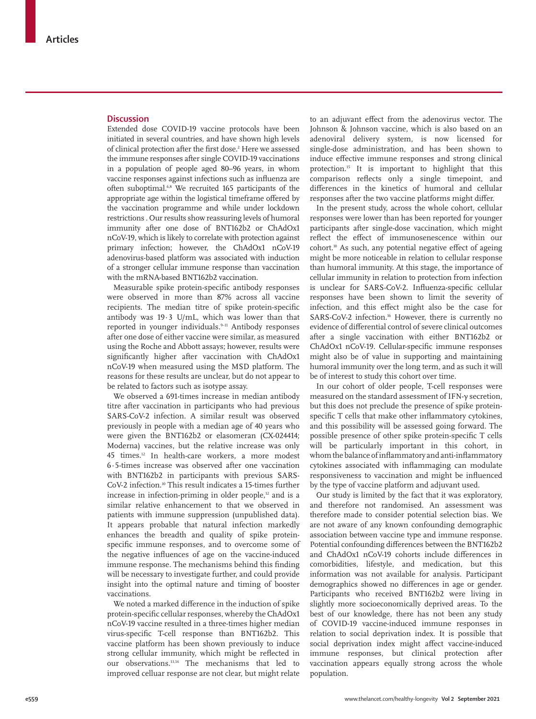# **Discussion**

Extended dose COVID-19 vaccine protocols have been initiated in several countries, and have shown high levels of clinical protection after the first dose.<sup>2</sup> Here we assessed the immune responses after single COVID-19 vaccinations in a population of people aged 80–96 years, in whom vaccine responses against infections such as influenza are often suboptimal.<sup>6,8</sup> We recruited 165 participants of the appropriate age within the logistical timeframe offered by the vaccination programme and while under lockdown restrictions . Our results show reassuring levels of humoral immunity after one dose of BNT162b2 or ChAdOx1 nCoV-19, which is likely to correlate with protection against primary infection; however, the ChAdOx1 nCoV-19 adenovirus-based platform was associated with induction of a stronger cellular immune response than vaccination with the mRNA-based BNT162b2 vaccination.

Measurable spike protein-specific antibody responses were observed in more than 87% across all vaccine recipients. The median titre of spike protein-specific antibody was 19·3 U/mL, which was lower than that reported in younger individuals.<sup>9-11</sup> Antibody responses after one dose of either vaccine were similar, as measured using the Roche and Abbott assays; however, results were significantly higher after vaccination with ChAdOx1 nCoV-19 when measured using the MSD platform. The reasons for these results are unclear, but do not appear to be related to factors such as isotype assay.

We observed a 691-times increase in median antibody titre after vaccination in participants who had previous SARS-CoV-2 infection. A similar result was observed previously in people with a median age of 40 years who were given the BNT162b2 or elasomeran (CX-024414; Moderna) vaccines, but the relative increase was only 45 times.<sup>12</sup> In health-care workers, a more modest 6·5-times increase was observed after one vaccination with BNT162b2 in participants with previous SARS-CoV-2 infection.10 This result indicates a 15-times further increase in infection-priming in older people, $12$  and is a similar relative enhancement to that we observed in patients with immune suppression (unpublished data). It appears probable that natural infection markedly enhances the breadth and quality of spike proteinspecific immune responses, and to overcome some of the negative influences of age on the vaccine-induced immune response. The mechanisms behind this finding will be necessary to investigate further, and could provide insight into the optimal nature and timing of booster vaccinations.

We noted a marked difference in the induction of spike protein-specific cellular responses, whereby the ChAdOx1 nCoV-19 vaccine resulted in a three-times higher median virus-specific T-cell response than BNT162b2. This vaccine platform has been shown previously to induce strong cellular immunity, which might be reflected in our observations.13,14 The mechanisms that led to improved celluar response are not clear, but might relate

to an adjuvant effect from the adenovirus vector. The Johnson & Johnson vaccine, which is also based on an adenoviral delivery system, is now licensed for single-dose administration, and has been shown to induce effective immune responses and strong clinical protection.15 It is important to highlight that this comparison reflects only a single timepoint, and differences in the kinetics of humoral and cellular responses after the two vaccine platforms might differ.

In the present study, across the whole cohort, cellular responses were lower than has been reported for younger participants after single-dose vaccination, which might reflect the effect of immunosenescence within our cohort.10 As such, any potential negative effect of ageing might be more noticeable in relation to cellular response than humoral immunity. At this stage, the importance of cellular immunity in relation to protection from infection is unclear for SARS-CoV-2. Influenza-specific cellular responses have been shown to limit the severity of infection, and this effect might also be the case for SARS-CoV-2 infection.<sup>16</sup> However, there is currently no evidence of differential control of severe clinical outcomes after a single vaccination with either BNT162b2 or ChAdOx1 nCoV-19. Cellular-specific immune responses might also be of value in supporting and maintaining humoral immunity over the long term, and as such it will be of interest to study this cohort over time.

In our cohort of older people, T-cell responses were measured on the standard assessment of IFN-γ secretion, but this does not preclude the presence of spike proteinspecific T cells that make other inflammatory cytokines, and this possibility will be assessed going forward. The possible presence of other spike protein-specific T cells will be particularly important in this cohort, in whom the balance of inflammatory and anti-inflammatory cytokines associated with inflammaging can modulate responsiveness to vaccination and might be influenced by the type of vaccine platform and adjuvant used.

Our study is limited by the fact that it was exploratory, and therefore not randomised. An assessment was therefore made to consider potential selection bias. We are not aware of any known confounding demographic association between vaccine type and immune response. Potential confounding differences between the BNT162b2 and ChAdOx1 nCoV-19 cohorts include differences in comorbidities, lifestyle, and medication, but this information was not available for analysis. Participant demographics showed no differences in age or gender. Participants who received BNT162b2 were living in slightly more socioeconomically deprived areas. To the best of our knowledge, there has not been any study of COVID-19 vaccine-induced immune responses in relation to social deprivation index. It is possible that social deprivation index might affect vaccine-induced immune responses, but clinical protection after vaccination appears equally strong across the whole population.